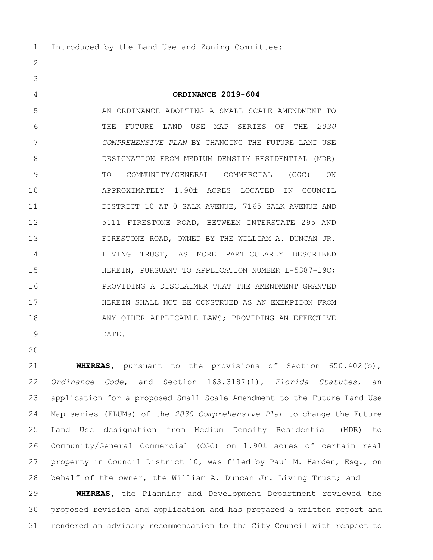Introduced by the Land Use and Zoning Committee:

## **ORDINANCE 2019-604**

5 AN ORDINANCE ADOPTING A SMALL-SCALE AMENDMENT TO THE FUTURE LAND USE MAP SERIES OF THE *2030 COMPREHENSIVE PLAN* BY CHANGING THE FUTURE LAND USE DESIGNATION FROM MEDIUM DENSITY RESIDENTIAL (MDR) TO COMMUNITY/GENERAL COMMERCIAL (CGC) ON 10 APPROXIMATELY 1.90± ACRES LOCATED IN COUNCIL DISTRICT 10 AT 0 SALK AVENUE, 7165 SALK AVENUE AND 12 | S111 FIRESTONE ROAD, BETWEEN INTERSTATE 295 AND 13 FIRESTONE ROAD, OWNED BY THE WILLIAM A. DUNCAN JR. LIVING TRUST, AS MORE PARTICULARLY DESCRIBED 15 | HEREIN, PURSUANT TO APPLICATION NUMBER L-5387-19C; 16 PROVIDING A DISCLAIMER THAT THE AMENDMENT GRANTED 17 | HEREIN SHALL NOT BE CONSTRUED AS AN EXEMPTION FROM 18 ANY OTHER APPLICABLE LAWS; PROVIDING AN EFFECTIVE DATE.

 **WHEREAS,** pursuant to the provisions of Section 650.402(b), *Ordinance Code*, and Section 163.3187(1), *Florida Statutes*, an application for a proposed Small-Scale Amendment to the Future Land Use Map series (FLUMs) of the *2030 Comprehensive Plan* to change the Future Land Use designation from Medium Density Residential (MDR) to 26 | Community/General Commercial (CGC) on 1.90± acres of certain real property in Council District 10, was filed by Paul M. Harden, Esq., on 28 | behalf of the owner, the William A. Duncan Jr. Living Trust; and

 **WHEREAS,** the Planning and Development Department reviewed the proposed revision and application and has prepared a written report and rendered an advisory recommendation to the City Council with respect to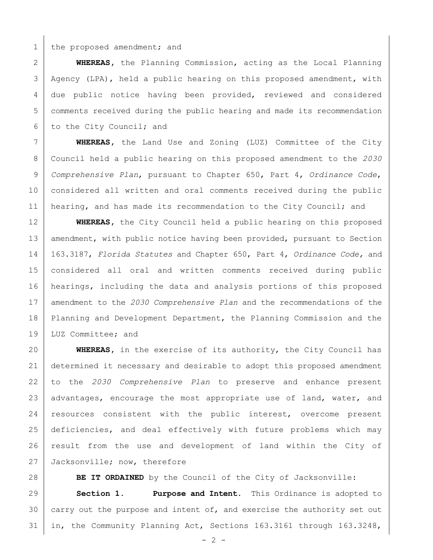1 the proposed amendment; and

 **WHEREAS,** the Planning Commission, acting as the Local Planning Agency (LPA), held a public hearing on this proposed amendment, with due public notice having been provided, reviewed and considered comments received during the public hearing and made its recommendation 6 to the City Council; and

 **WHEREAS,** the Land Use and Zoning (LUZ) Committee of the City Council held a public hearing on this proposed amendment to the *2030 Comprehensive Plan*, pursuant to Chapter 650, Part 4, *Ordinance Code*, considered all written and oral comments received during the public 11 | hearing, and has made its recommendation to the City Council; and

 **WHEREAS,** the City Council held a public hearing on this proposed 13 | amendment, with public notice having been provided, pursuant to Section 163.3187, *Florida Statutes* and Chapter 650, Part 4, *Ordinance Code,* and considered all oral and written comments received during public hearings, including the data and analysis portions of this proposed amendment to the *2030 Comprehensive Plan* and the recommendations of the Planning and Development Department, the Planning Commission and the LUZ Committee; and

 **WHEREAS,** in the exercise of its authority, the City Council has determined it necessary and desirable to adopt this proposed amendment to the *2030 Comprehensive Plan* to preserve and enhance present 23 advantages, encourage the most appropriate use of land, water, and 24 | resources consistent with the public interest, overcome present deficiencies, and deal effectively with future problems which may result from the use and development of land within the City of 27 Jacksonville; now, therefore

**BE IT ORDAINED** by the Council of the City of Jacksonville: **Section 1. Purpose and Intent.** This Ordinance is adopted to 30 carry out the purpose and intent of, and exercise the authority set out in, the Community Planning Act, Sections 163.3161 through 163.3248,

 $-2 -$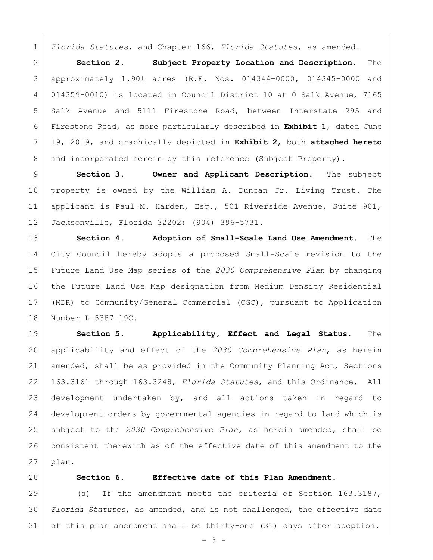*Florida Statutes*, and Chapter 166, *Florida Statutes*, as amended.

 **Section 2. Subject Property Location and Description.** The approximately 1.90 acres (R.E. Nos. 014344-0000, 014345-0000 and 014359-0010) is located in Council District 10 at 0 Salk Avenue, 7165 Salk Avenue and 5111 Firestone Road, between Interstate 295 and Firestone Road, as more particularly described in **Exhibit 1**, dated June 19, 2019, and graphically depicted in **Exhibit 2**, both **attached hereto** 8 and incorporated herein by this reference (Subject Property).

 **Section 3. Owner and Applicant Description.** The subject property is owned by the William A. Duncan Jr. Living Trust. The 11 | applicant is Paul M. Harden, Esq., 501 Riverside Avenue, Suite 901, Jacksonville, Florida 32202; (904) 396-5731.

 **Section 4. Adoption of Small-Scale Land Use Amendment.** The City Council hereby adopts a proposed Small-Scale revision to the Future Land Use Map series of the *2030 Comprehensive Plan* by changing the Future Land Use Map designation from Medium Density Residential (MDR) to Community/General Commercial (CGC), pursuant to Application Number L-5387-19C.

 **Section 5. Applicability, Effect and Legal Status.** The applicability and effect of the *2030 Comprehensive Plan*, as herein amended, shall be as provided in the Community Planning Act, Sections 163.3161 through 163.3248, *Florida Statutes*, and this Ordinance. All development undertaken by, and all actions taken in regard to development orders by governmental agencies in regard to land which is subject to the *2030 Comprehensive Plan*, as herein amended, shall be 26 consistent therewith as of the effective date of this amendment to the plan.

## **Section 6. Effective date of this Plan Amendment.**

 (a) If the amendment meets the criteria of Section 163.3187, *Florida Statutes*, as amended, and is not challenged, the effective date 31 of this plan amendment shall be thirty-one  $(31)$  days after adoption.

- 3 -